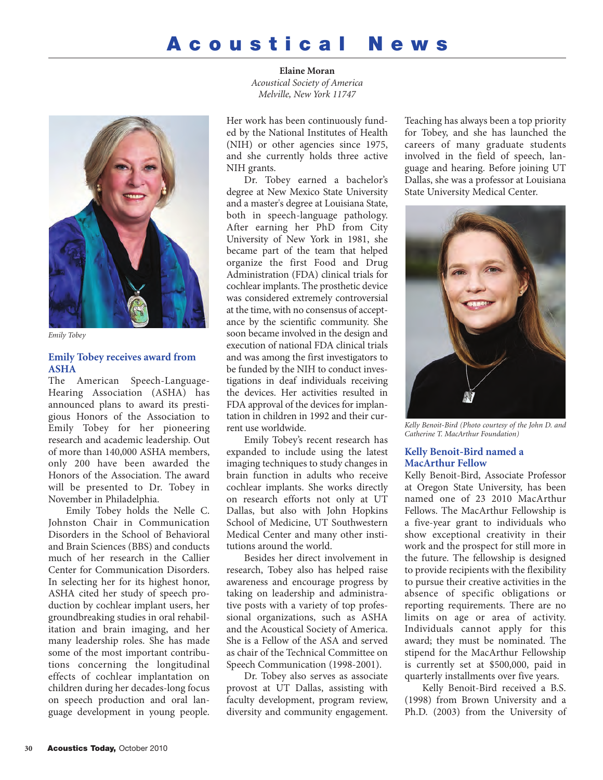# **Acoustical News**



*Emily Tobey*

## **Emily Tobey receives award from ASHA**

The American Speech-Language-Hearing Association (ASHA) has announced plans to award its prestigious Honors of the Association to Emily Tobey for her pioneering research and academic leadership. Out of more than 140,000 ASHA members, only 200 have been awarded the Honors of the Association. The award will be presented to Dr. Tobey in November in Philadelphia.

Emily Tobey holds the Nelle C. Johnston Chair in Communication Disorders in the School of Behavioral and Brain Sciences (BBS) and conducts much of her research in the Callier Center for Communication Disorders. In selecting her for its highest honor, ASHA cited her study of speech production by cochlear implant users, her groundbreaking studies in oral rehabilitation and brain imaging, and her many leadership roles. She has made some of the most important contributions concerning the longitudinal effects of cochlear implantation on children during her decades-long focus on speech production and oral language development in young people.

**Elaine Moran** *Acoustical Society of America Melville, New York 11747*

Her work has been continuously funded by the National Institutes of Health (NIH) or other agencies since 1975, and she currently holds three active NIH grants.

Dr. Tobey earned a bachelor's degree at New Mexico State University and a master's degree at Louisiana State, both in speech-language pathology. After earning her PhD from City University of New York in 1981, she became part of the team that helped organize the first Food and Drug Administration (FDA) clinical trials for cochlear implants. The prosthetic device was considered extremely controversial at the time, with no consensus of acceptance by the scientific community. She soon became involved in the design and execution of national FDA clinical trials and was among the first investigators to be funded by the NIH to conduct investigations in deaf individuals receiving the devices. Her activities resulted in FDA approval of the devices for implantation in children in 1992 and their current use worldwide.

Emily Tobey's recent research has expanded to include using the latest imaging techniques to study changes in brain function in adults who receive cochlear implants. She works directly on research efforts not only at UT Dallas, but also with John Hopkins School of Medicine, UT Southwestern Medical Center and many other institutions around the world.

Besides her direct involvement in research, Tobey also has helped raise awareness and encourage progress by taking on leadership and administrative posts with a variety of top professional organizations, such as ASHA and the Acoustical Society of America. She is a Fellow of the ASA and served as chair of the Technical Committee on Speech Communication (1998-2001).

Dr. Tobey also serves as associate provost at UT Dallas, assisting with faculty development, program review, diversity and community engagement.

Teaching has always been a top priority for Tobey, and she has launched the careers of many graduate students involved in the field of speech, language and hearing. Before joining UT Dallas, she was a professor at Louisiana State University Medical Center.



*Kelly Benoit-Bird (Photo courtesy of the John D. and Catherine T. MacArthur Foundation)*

## **Kelly Benoit-Bird named a MacArthur Fellow**

Kelly Benoit-Bird, Associate Professor at Oregon State University, has been named one of 23 2010 MacArthur Fellows. The MacArthur Fellowship is a five-year grant to individuals who show exceptional creativity in their work and the prospect for still more in the future. The fellowship is designed to provide recipients with the flexibility to pursue their creative activities in the absence of specific obligations or reporting requirements. There are no limits on age or area of activity. Individuals cannot apply for this award; they must be nominated. The stipend for the MacArthur Fellowship is currently set at \$500,000, paid in quarterly installments over five years.

Kelly Benoit-Bird received a B.S. (1998) from Brown University and a Ph.D. (2003) from the University of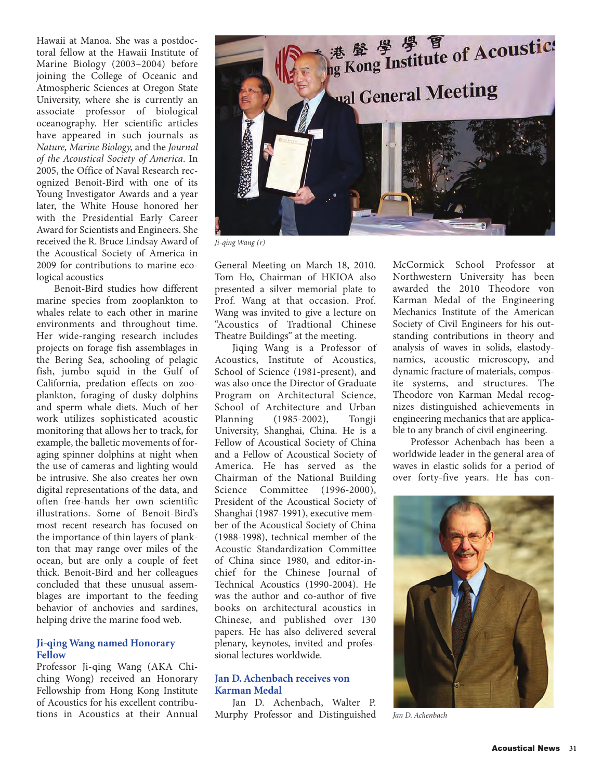Hawaii at Manoa. She was a postdoctoral fellow at the Hawaii Institute of Marine Biology (2003–2004) before joining the College of Oceanic and Atmospheric Sciences at Oregon State University, where she is currently an associate professor of biological oceanography. Her scientific articles have appeared in such journals as *Nature, Marine Biology,* and the *Journal of the Acoustical Society of America*. In 2005, the Office of Naval Research recognized Benoit-Bird with one of its Young Investigator Awards and a year later, the White House honored her with the Presidential Early Career Award for Scientists and Engineers. She received the R. Bruce Lindsay Award of the Acoustical Society of America in 2009 for contributions to marine ecological acoustics

Benoit-Bird studies how different marine species from zooplankton to whales relate to each other in marine environments and throughout time. Her wide-ranging research includes projects on forage fish assemblages in the Bering Sea, schooling of pelagic fish, jumbo squid in the Gulf of California, predation effects on zooplankton, foraging of dusky dolphins and sperm whale diets. Much of her work utilizes sophisticated acoustic monitoring that allows her to track, for example, the balletic movements of foraging spinner dolphins at night when the use of cameras and lighting would be intrusive. She also creates her own digital representations of the data, and often free-hands her own scientific illustrations. Some of Benoit-Bird's most recent research has focused on the importance of thin layers of plankton that may range over miles of the ocean, but are only a couple of feet thick. Benoit-Bird and her colleagues concluded that these unusual assemblages are important to the feeding behavior of anchovies and sardines, helping drive the marine food web.

## **Ji-qing Wang named Honorary Fellow**

Professor Ji-qing Wang (AKA Chiching Wong) received an Honorary Fellowship from Hong Kong Institute of Acoustics for his excellent contribu-<br>tions in Acoustics at their Annual



*Ji-qing Wang (r)*

General Meeting on March 18, 2010. Tom Ho, Chairman of HKIOA also presented a silver memorial plate to Prof. Wang at that occasion. Prof. Wang was invited to give a lecture on "Acoustics of Tradtional Chinese Theatre Buildings" at the meeting.

Jiqing Wang is a Professor of Acoustics, Institute of Acoustics, School of Science (1981-present), and was also once the Director of Graduate Program on Architectural Science, School of Architecture and Urban<br>Planning (1985-2002), Tongji  $(1985 - 2002)$ , University, Shanghai, China. He is a Fellow of Acoustical Society of China and a Fellow of Acoustical Society of America. He has served as the Chairman of the National Building Science Committee (1996-2000), President of the Acoustical Society of Shanghai (1987-1991), executive member of the Acoustical Society of China (1988-1998), technical member of the Acoustic Standardization Committee of China since 1980, and editor-inchief for the Chinese Journal of Technical Acoustics (1990-2004). He was the author and co-author of five books on architectural acoustics in Chinese, and published over 130 papers. He has also delivered several plenary, keynotes, invited and professional lectures worldwide.

## **Jan D. Achenbach receives von Karman Medal**

tions in Acoustics at their Annual Murphy Professor and Distinguished Jan D. Achenbach Jan D. Achenbach, Walter P.

McCormick School Professor at Northwestern University has been awarded the 2010 Theodore von Karman Medal of the Engineering Mechanics Institute of the American Society of Civil Engineers for his outstanding contributions in theory and analysis of waves in solids, elastodynamics, acoustic microscopy, and dynamic fracture of materials, composite systems, and structures. The Theodore von Karman Medal recognizes distinguished achievements in engineering mechanics that are applicable to any branch of civil engineering.

Professor Achenbach has been a worldwide leader in the general area of waves in elastic solids for a period of over forty-five years. He has con-

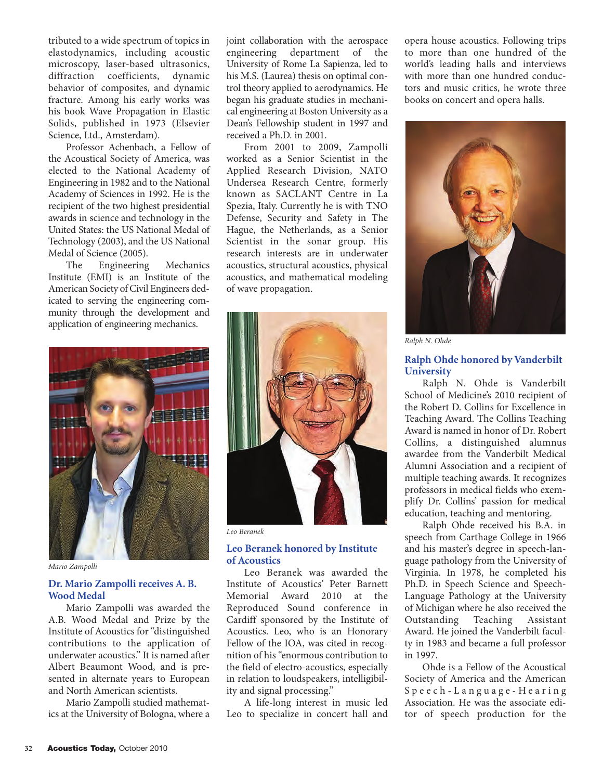tributed to a wide spectrum of topics in elastodynamics, including acoustic microscopy, laser-based ultrasonics, diffraction coefficients, dynamic behavior of composites, and dynamic fracture. Among his early works was his book Wave Propagation in Elastic Solids, published in 1973 (Elsevier Science, Ltd., Amsterdam).

Professor Achenbach, a Fellow of the Acoustical Society of America, was elected to the National Academy of Engineering in 1982 and to the National Academy of Sciences in 1992. He is the recipient of the two highest presidential awards in science and technology in the United States: the US National Medal of Technology (2003), and the US National Medal of Science (2005).

The Engineering Mechanics Institute (EMI) is an Institute of the American Society of Civil Engineers dedicated to serving the engineering community through the development and application of engineering mechanics.

joint collaboration with the aerospace engineering department of the University of Rome La Sapienza, led to his M.S. (Laurea) thesis on optimal control theory applied to aerodynamics. He began his graduate studies in mechanical engineering at Boston University as a Dean's Fellowship student in 1997 and received a Ph.D. in 2001.

From 2001 to 2009, Zampolli worked as a Senior Scientist in the Applied Research Division, NATO Undersea Research Centre, formerly known as SACLANT Centre in La Spezia, Italy. Currently he is with TNO Defense, Security and Safety in The Hague, the Netherlands, as a Senior Scientist in the sonar group. His research interests are in underwater acoustics, structural acoustics, physical acoustics, and mathematical modeling of wave propagation.



*Leo Beranek*

#### **Leo Beranek honored by Institute of Acoustics**

Leo Beranek was awarded the Institute of Acoustics' Peter Barnett Memorial Award 2010 at the Reproduced Sound conference in Cardiff sponsored by the Institute of Acoustics. Leo, who is an Honorary Fellow of the IOA, was cited in recognition of his "enormous contribution to the field of electro-acoustics, especially in relation to loudspeakers, intelligibility and signal processing."

A life-long interest in music led Leo to specialize in concert hall and opera house acoustics. Following trips to more than one hundred of the world's leading halls and interviews with more than one hundred conductors and music critics, he wrote three books on concert and opera halls.



*Ralph N. Ohde*

#### **Ralph Ohde honored by Vanderbilt University**

Ralph N. Ohde is Vanderbilt School of Medicine's 2010 recipient of the Robert D. Collins for Excellence in Teaching Award. The Collins Teaching Award is named in honor of Dr. Robert Collins, a distinguished alumnus awardee from the Vanderbilt Medical Alumni Association and a recipient of multiple teaching awards. It recognizes professors in medical fields who exemplify Dr. Collins' passion for medical education, teaching and mentoring.

Ralph Ohde received his B.A. in speech from Carthage College in 1966 and his master's degree in speech-language pathology from the University of Virginia. In 1978, he completed his Ph.D. in Speech Science and Speech-Language Pathology at the University of Michigan where he also received the Outstanding Teaching Assistant Award. He joined the Vanderbilt faculty in 1983 and became a full professor in 1997.

Ohde is a Fellow of the Acoustical Society of America and the American Speech-Language-Hearing Association. He was the associate editor of speech production for the



*Mario Zampolli*

## **Dr. Mario Zampolli receives A. B. Wood Medal**

Mario Zampolli was awarded the A.B. Wood Medal and Prize by the Institute of Acoustics for "distinguished contributions to the application of underwater acoustics." It is named after Albert Beaumont Wood, and is presented in alternate years to European and North American scientists.

Mario Zampolli studied mathematics at the University of Bologna, where a